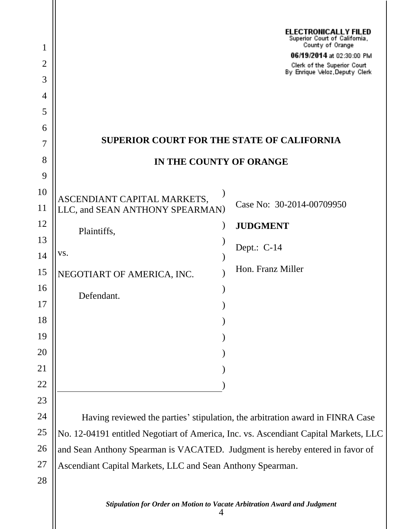|                |                                                                                      | <b>ELECTRONICALLY FILED</b><br>Superior Court of California,  |
|----------------|--------------------------------------------------------------------------------------|---------------------------------------------------------------|
| $\mathbf{1}$   |                                                                                      | County of Orange<br>06/19/2014 at 02:30:00 PM                 |
| $\overline{2}$ |                                                                                      | Clerk of the Superior Court<br>By Enrique Veloz, Deputy Clerk |
| 3              |                                                                                      |                                                               |
| 4<br>5         |                                                                                      |                                                               |
| 6              |                                                                                      |                                                               |
| 7              | <b>SUPERIOR COURT FOR THE STATE OF CALIFORNIA</b>                                    |                                                               |
| 8              | IN THE COUNTY OF ORANGE                                                              |                                                               |
| 9              |                                                                                      |                                                               |
| 10             | ASCENDIANT CAPITAL MARKETS,                                                          |                                                               |
| 11             | LLC, and SEAN ANTHONY SPEARMAN)                                                      | Case No: 30-2014-00709950                                     |
| 12             | Plaintiffs,                                                                          | <b>JUDGMENT</b>                                               |
| 13             |                                                                                      | Dept.: $C-14$                                                 |
| 14             | VS.                                                                                  |                                                               |
| 15             | NEGOTIART OF AMERICA, INC.                                                           | Hon. Franz Miller                                             |
| 16             | Defendant.                                                                           |                                                               |
| 17             |                                                                                      |                                                               |
| 18             |                                                                                      |                                                               |
| 19             |                                                                                      |                                                               |
| 20             |                                                                                      |                                                               |
| 21             |                                                                                      |                                                               |
| 22             |                                                                                      |                                                               |
| 23             |                                                                                      |                                                               |
| 24             | Having reviewed the parties' stipulation, the arbitration award in FINRA Case        |                                                               |
| 25             | No. 12-04191 entitled Negotiart of America, Inc. vs. Ascendiant Capital Markets, LLC |                                                               |
| 26             | and Sean Anthony Spearman is VACATED. Judgment is hereby entered in favor of         |                                                               |
| 27             | Ascendiant Capital Markets, LLC and Sean Anthony Spearman.                           |                                                               |
| 28             |                                                                                      |                                                               |
|                | Stipulation for Order on Motion to Vacate Arbitration Award and Judgment             |                                                               |

4